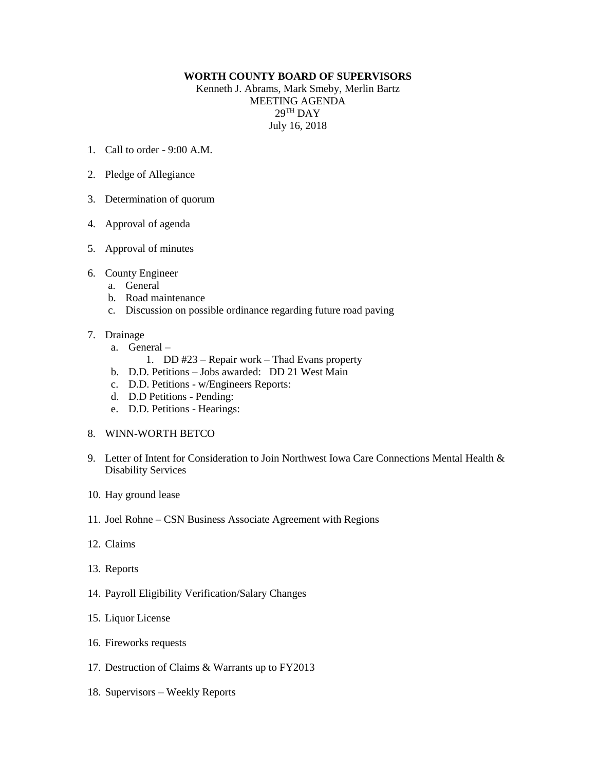## **WORTH COUNTY BOARD OF SUPERVISORS**

Kenneth J. Abrams, Mark Smeby, Merlin Bartz MEETING AGENDA  $29^{\mathrm{TH}}$  DAY July 16, 2018

- 1. Call to order 9:00 A.M.
- 2. Pledge of Allegiance
- 3. Determination of quorum
- 4. Approval of agenda
- 5. Approval of minutes
- 6. County Engineer
	- a. General
	- b. Road maintenance
	- c. Discussion on possible ordinance regarding future road paving
- 7. Drainage
	- a. General
		- 1. DD #23 Repair work Thad Evans property
	- b. D.D. Petitions Jobs awarded: DD 21 West Main
	- c. D.D. Petitions w/Engineers Reports:
	- d. D.D Petitions Pending:
	- e. D.D. Petitions Hearings:
- 8. WINN-WORTH BETCO
- 9. Letter of Intent for Consideration to Join Northwest Iowa Care Connections Mental Health & Disability Services
- 10. Hay ground lease
- 11. Joel Rohne CSN Business Associate Agreement with Regions
- 12. Claims
- 13. Reports
- 14. Payroll Eligibility Verification/Salary Changes
- 15. Liquor License
- 16. Fireworks requests
- 17. Destruction of Claims & Warrants up to FY2013
- 18. Supervisors Weekly Reports